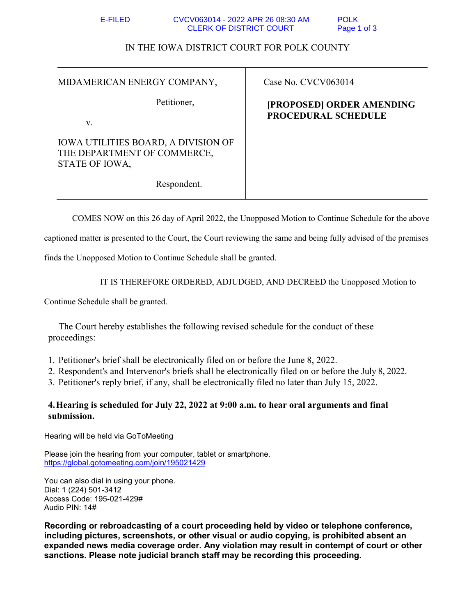| E-FILED. | CVCV063014 - 2022 APR 26 08:30 AM | <b>POLK</b> |
|----------|-----------------------------------|-------------|
|          | <b>CLERK OF DISTRICT COURT</b>    | Page 1 of 3 |

## IN THE IOWA DISTRICT COURT FOR POLK COUNTY

| MIDAMERICAN ENERGY COMPANY,                                                                 | Case No. CVCV063014                              |  |
|---------------------------------------------------------------------------------------------|--------------------------------------------------|--|
| Petitioner,<br>V.                                                                           | [PROPOSED] ORDER AMENDING<br>PROCEDURAL SCHEDULE |  |
| <b>IOWA UTILITIES BOARD, A DIVISION OF</b><br>THE DEPARTMENT OF COMMERCE,<br>STATE OF IOWA, |                                                  |  |
| Respondent.                                                                                 |                                                  |  |

COMES NOW on this 26 day of April 2022, the Unopposed Motion to Continue Schedule for the above

captioned matter is presented to the Court, the Court reviewing the same and being fully advised of the premises

finds the Unopposed Motion to Continue Schedule shall be granted.

IT IS THEREFORE ORDERED, ADJUDGED, AND DECREED the Unopposed Motion to

Continue Schedule shall be granted.

The Court hereby establishes the following revised schedule for the conduct of these proceedings:

1. Petitioner's brief shall be electronically filed on or before the June 8, 2022.

2. Respondent's and Intervenor's briefs shall be electronically filed on or before the July 8, 2022.

3. Petitioner's reply brief, if any, shall be electronically filed no later than July 15, 2022.

## **4.Hearing is scheduled for July 22, 2022 at 9:00 a.m. to hear oral arguments and final submission.**

Hearing will be held via GoToMeeting

Please join the hearing from your computer, tablet or smartphone. https://global.gotomeeting.com/join/195021429

You can also dial in using your phone. Dial: 1 (224) 501-3412 Access Code: 195-021-429# Audio PIN: 14#

**Recording or rebroadcasting of a court proceeding held by video or telephone conference, including pictures, screenshots, or other visual or audio copying, is prohibited absent an expanded news media coverage order. Any violation may result in contempt of court or other sanctions. Please note judicial branch staff may be recording this proceeding.**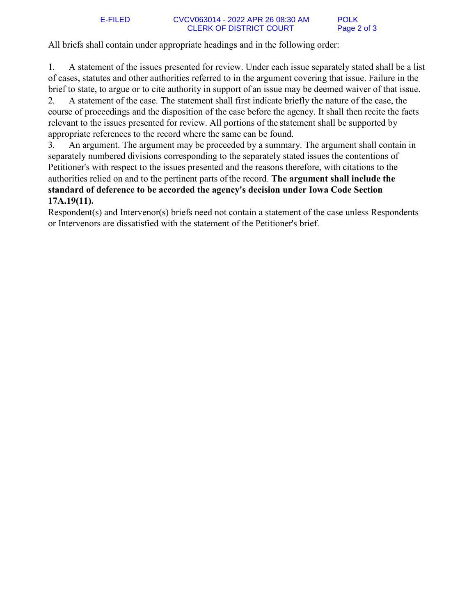1. A statement of the issues presented for review. Under each issue separately stated shall be a list of cases, statutes and other authorities referred to in the argument covering that issue. Failure in the brief to state, to argue or to cite authority in support of an issue may be deemed waiver of that issue.

2. A statement of the case. The statement shall first indicate briefly the nature of the case, the course of proceedings and the disposition of the case before the agency. It shall then recite the facts relevant to the issues presented for review. All portions of the statement shall be supported by appropriate references to the record where the same can be found.

3. An argument. The argument may be proceeded by a summary. The argument shall contain in separately numbered divisions corresponding to the separately stated issues the contentions of Petitioner's with respect to the issues presented and the reasons therefore, with citations to the authorities relied on and to the pertinent parts of the record. **The argument shall include the standard of deference to be accorded the agency's decision under Iowa Code Section 17A.19(11).** 

Respondent(s) and Intervenor(s) briefs need not contain a statement of the case unless Respondents or Intervenors are dissatisfied with the statement of the Petitioner's brief.